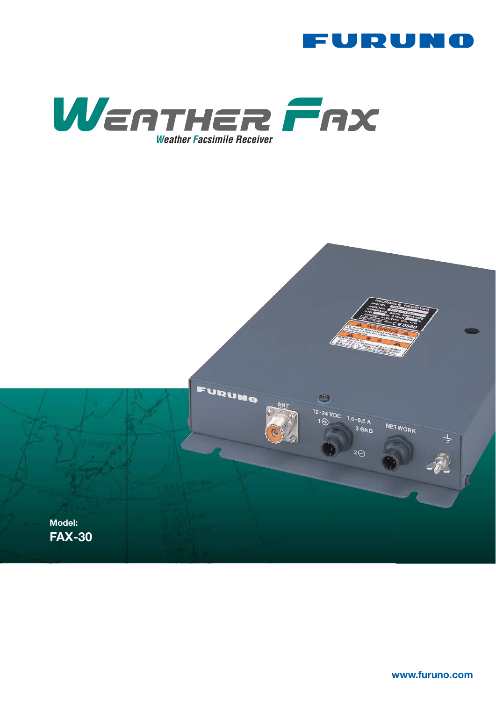



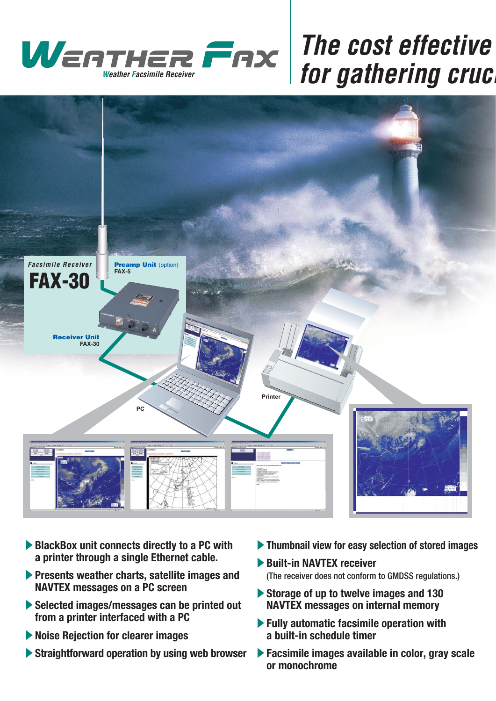

# **for gathering crucial**



- ▶ BlackBox unit connects directly to a PC with **a printer through a single Ethernet cable.**
- **Presents weather charts, satellite images and NAVTEX messages on a PC screen**
- S**Selected images/messages can be printed out from a printer interfaced with a PC**
- **Solution For Clearer images**
- S**Straightforward operation by using web browser**
- **Figure 3 Thumbnail view for easy selection of stored images**
- **Built-in NAVTEX receiver** (The receiver does not conform to GMDSS regulations.)
- S**Storage of up to twelve images and 130 NAVTEX messages on internal memory**
- S**Fully automatic facsimile operation with a built-in schedule timer**
- **Facsimile images available in color, gray scale or monochrome**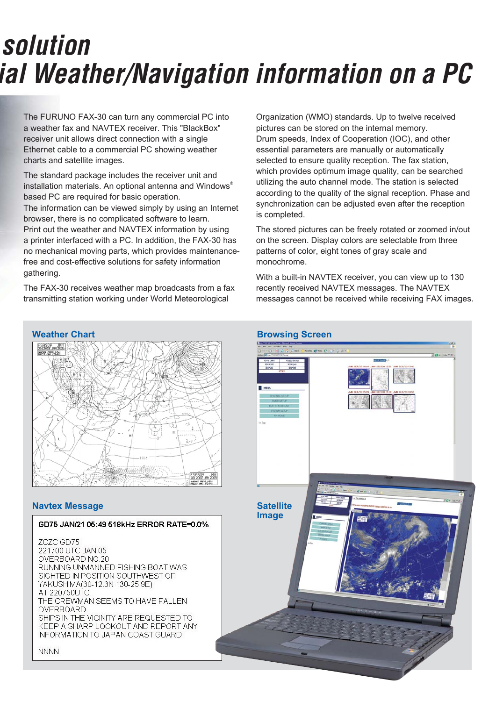# **Solution** *formather/Navigation information on a PC*

The FURUNO FAX-30 can turn any commercial PC into a weather fax and NAVTEX receiver. This "BlackBox" receiver unit allows direct connection with a single Ethernet cable to a commercial PC showing weather charts and satellite images.

The standard package includes the receiver unit and installation materials. An optional antenna and Windows® based PC are required for basic operation.

The information can be viewed simply by using an Internet browser, there is no complicated software to learn. Print out the weather and NAVTEX information by using a printer interfaced with a PC. In addition, the FAX-30 has no mechanical moving parts, which provides maintenancefree and cost-effective solutions for safety information gathering.

The FAX-30 receives weather map broadcasts from a fax transmitting station working under World Meteorological

Organization (WMO) standards. Up to twelve received pictures can be stored on the internal memory. Drum speeds, Index of Cooperation (IOC), and other essential parameters are manually or automatically selected to ensure quality reception. The fax station, which provides optimum image quality, can be searched utilizing the auto channel mode. The station is selected according to the quality of the signal reception. Phase and synchronization can be adjusted even after the reception is completed.

The stored pictures can be freely rotated or zoomed in/out on the screen. Display colors are selectable from three patterns of color, eight tones of gray scale and monochrome.

With a built-in NAVTEX receiver, you can view up to 130 recently received NAVTEX messages. The NAVTEX messages cannot be received while receiving FAX images.





## **Navtex Message**

## GD75 JAN/21 05:49 518kHz ERROR RATE=0.0%

ZCZC GD75 221700 UTC JAN 05 OVERBOARD NO.20 RUNNING UNMANNED FISHING BOAT WAS SIGHTED IN POSITION SOUTHWEST OF YAKUSHIMA(30-12.3N 130-25.9E) AT 220750UTC THE CREWMAN SEEMS TO HAVE FALLEN. OVERBOARD SHIPS IN THE VICINITY ARE REQUESTED TO KEEP A SHARP LOOKOUT AND REPORT ANY INFORMATION TO JAPAN COAST GUARD.

**NNNN**